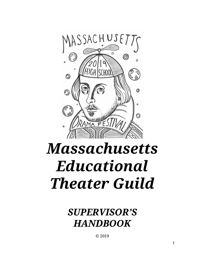

# *Massachusetts Educational Theater Guild*

*SUPERVISOR'S HANDBOOK*

© 2019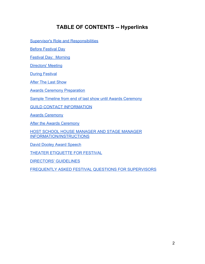# **TABLE OF CONTENTS -- Hyperlinks**

[Supervisor's Role and Responsibilities](#page-3-0)

[Before Festival Day](#page-3-1)

[Festival Day: Morning](#page-3-2)

[Directors' Meeting](#page-6-0)

[During Festival](#page-9-0)

**[After The Last Show](#page-10-0)** 

[Awards Ceremony Preparation](#page-13-0)

[Sample Timeline from end of last show until Awards Ceremony](#page-14-0)

[GUILD CONTACT INFORMATION](#page-16-0)

[Awards Ceremony](#page-16-1)

**[After the Awards Ceremony](#page-19-0)** 

[HOST SCHOOL HOUSE MANAGER AND STAGE MANAGER](#page-21-0) [INFORMATION/INSTRUCTIONS](#page-21-0)

[David Dooley Award Speech](#page-22-0)

[THEATER ETIQUETTE FOR FESTIVAL](#page-23-0)

[DIRECTORS' GUIDELINES](#page-24-0)

[FREQUENTLY ASKED FESTIVAL QUESTIONS FOR SUPERVISORS](#page-25-0)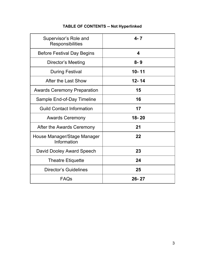| Supervisor's Role and<br><b>Responsibilities</b> | $4 - 7$   |
|--------------------------------------------------|-----------|
| <b>Before Festival Day Begins</b>                | 4         |
| Director's Meeting                               | $8 - 9$   |
| <b>During Festival</b>                           | $10 - 11$ |
| After the Last Show                              | $12 - 14$ |
| <b>Awards Ceremony Preparation</b>               | 15        |
| Sample End-of-Day Timeline                       | 16        |
| <b>Guild Contact Information</b>                 | 17        |
| <b>Awards Ceremony</b>                           | $18 - 20$ |
| After the Awards Ceremony                        | 21        |
| House Manager/Stage Manager<br>Information       | 22        |
| David Dooley Award Speech                        | 23        |
| <b>Theatre Etiquette</b>                         | 24        |
| <b>Director's Guidelines</b>                     | 25        |
| <b>FAQs</b>                                      | $26 - 27$ |

# **TABLE OF CONTENTS -- Not Hyperlinked**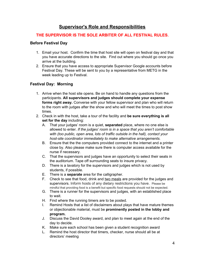## **Supervisor's Role and Responsibilities**

## <span id="page-3-0"></span>**THE SUPERVISOR IS THE SOLE ARBITER OF ALL FESTIVAL RULES.**

## <span id="page-3-1"></span>**Before Festival Day**

- 1. Email your host. Confirm the time that host site will open on festival day and that you have accurate directions to the site. Find out where you should go once you arrive at the building.
- 2. Ensure that you have access to appropriate Supervisor Google accounts before Festival Day. These will be sent to you by a representative from METG in the week leading up to Festival.

## <span id="page-3-2"></span>**Festival Day: Morning**

- 1. Arrive when the host site opens. Be on hand to handle any questions from the participants. **All supervisors and judges should complete your expense forms right away.** Converse with your fellow supervisor and plan who will return to the room with judges after the show and who will meet the times to post show times.
- 2. Check in with the host, take a tour of the facility and **be sure everything is all set for the day** including:
	- A. That your judges' room is a quiet, **separated** place, where no one else is allowed to enter. *If the judges' room is in a space that you aren't comfortable with (too public, open area, lots of traffic outside in the hall), contact your host-site coordinator immediately to make alternative arrangements.*
	- B. Ensure that the the computers provided connect to the internet and a printer close by. Also please make sure there is computer access available for the nurse if necessary.
	- C. That the supervisors and judges have an opportunity to select their seats in the auditorium. Tape off surrounding seats to insure privacy.
	- D. There is a lavatory for the supervisors and judges which is not used by students, if possible.
	- E. There is a **separate** area for the calligrapher.
	- F. Check to see that food, drink and two meals are provided for the judges and supervisors. Inform hosts of any dietary restrictions you have. Please be mindful that providing food is a benefit but specific food requests should not be expected.
	- G. There is a runner for the supervisors and judges, with an established place to wait.
	- H. Find where the running timers are to be posted.
	- I. Remind Hosts that a list of disclaimers about plays that have mature themes or objectionable material, must be **prominently posted in the lobby and program.**
	- J. Discuss the David Dooley award, and plan to meet again at the end of the day to decide.
	- K. Make sure each school has been given a student recognition award
	- L. Remind the host director that timers, checker, nurse should all be at directors' meeting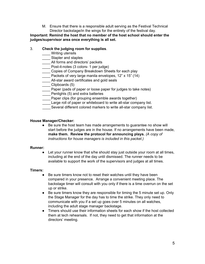M. Ensure that there is a responsible adult serving as the Festival Technical Director backstage/in the wings for the entirety of the festival day.

## **Important: Remind the host that no member of the host school should enter the judges/supervisor area once everything is all set.**

## 3. **Check the judging room for supplies**.

- \_\_\_\_ Writing utensils
- \_\_\_\_ Stapler and staples
- All forms and directors' packets
- \_\_\_\_ Post-it-notes (3 colors- 1 per judge)
- \_\_\_\_ Copies of Company Breakdown Sheets for each play
- \_\_\_\_ Packets of very large manila envelopes, 12" x 15" (14)
- \_\_\_\_ All-star award certificates and gold seals
- \_\_\_\_ Clipboards (5)
- Paper (pads of paper or loose paper for judges to take notes)
- \_\_\_\_Penlights (5) and extra batteries
- **EXEC** Paper clips (for grouping ensemble awards together)
- Large roll of paper or whiteboard to write all-star company list.
- Several different colored markers to write all-star company list.

## **House Manager/Checker:**

● Be sure the host team has made arrangements to quarantee no show will start before the judges are in the house. If no arrangements have been made, **make them. Review the protocol for announcing plays.** *(A copy of instructions for house managers is included in this packet.)*

#### **Runner:**

• Let your runner know that s/he should stay just outside your room at all times, including at the end of the day until dismissed. The runner needs to be available to support the work of the supervisors and judges at all times.

#### **Timers:**

- Be sure timers know not to reset their watches until they have been compared in your presence. Arrange a convenient meeting place. The backstage timer will consult with you only if there is a time overrun on the set up or strike.
- Be sure timers know they are responsible for timing the 5 minute set up. Only the Stage Manager for the day has to time the strike. They only need to communicate with you if a set up goes over 5 minutes on all watches, including the adult stage manager backstage.
- Timers should use their information sheets for each show if the host collected them at tech rehearsals. If not, they need to get that information at the directors' meeting.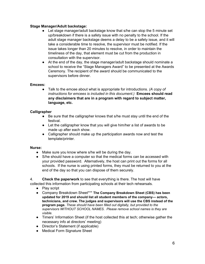#### **Stage Manager/Adult backstage:**

- Let stage manager/adult backstage know that s/he can stop the 5 minute set up/breakdown if there is a safety issue with no penalty to the school. If the adult stage manager backstage deems a delay to be a safety issue, and it will take a considerable time to resolve, the supervisor must be notified. If the issue takes longer than 20 minutes to resolve, in order to maintain the timeliness of the day, that element must be cut from the production in consultation with the supervisor.
- At the end of the day, the stage manager/adult backstage should nominate a school to receive the "Stage Managers Award" to be presented at the Awards Ceremony. The recipient of the award should be communicated to the supervisors before dinner.

## **Emcees:**

**●** Talk to the emcee about what is appropriate for introductions. *(A copy of instructions for emcees is included in this document.)* **Emcees should read any disclaimers that are in a program with regard to subject matter, language, etc.**

## **Calligrapher**

- Be sure that the calligrapher knows that s/he must stay until the end of the festival.
- Let the calligrapher know that you will give him/her a list of awards to be made up after each show.
- Calligrapher should make up the participation awards now and test the template/printer.

#### **Nurse:**

- Make sure you know where s/he will be during the day.
- S/he should have a computer so that the medical forms can be accessed with your provided password. Alternatively, the host can print out the forms for all schools. If the nurse is using printed forms, they must be returned to you at the end of the day so that you can dispose of them securely.

4. **Check the paperwork** to see that everything is there. The host will have collected this information from participating schools at their tech rehearsals.

- Play script
- Company Breakdown Sheet\*\*\* **The Company Breakdown Sheet (CBS) has been updated for 2019 and should list all student members of the company— actors, technicians, and crew. The judges and supervisors will use the CBS instead of the program page.** *These should have been filled out digitally, but provided to the supervisors WITHOUT SCHOOL NAMES. Please remove school names is they are visible.*
- Timers' Information Sheet (if the host collected this at tech; otherwise gather the necessary info at directors' meeting)
- Director's Statement (if applicable)
- Medical Form Signature Sheet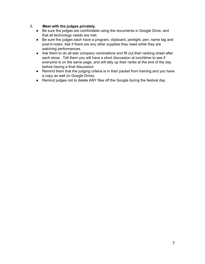## 5. **Meet with the judges privately.**

- Be sure the judges are comfortable using the documents in Google Drive, and that all technology needs are met.
- Be sure the judges each have a program, clipboard, penlight, pen, name tag and post-it-notes. Ask if there are any other supplies they need while they are watching performances.
- Ask them to do all-star company nominations and fill out their ranking sheet after each show. Tell them you will have a short discussion at lunchtime to see if everyone is on the same page, and will tally up their ranks at the end of the day before having a final discussion.
- Remind them that the judging criteria is in their packet from training and you have a copy as well (in Google Drive).
- <span id="page-6-0"></span>● Remind judges not to delete ANY files off the Google during the festival day.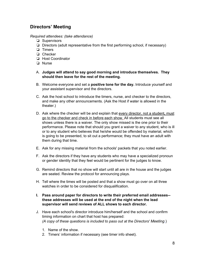## **Directors' Meeting**

#### *Required attendees: (take attendance)*

- ❏ Supervisors
- ❏ Directors (adult representative from the first performing school, if necessary)
- ❏ Timers
- ❏ Checker
- ❏ Host Coordinator
- ❏ Nurse
- A. **Judges will attend to say good morning and introduce themselves. They should then leave for the rest of the meeting.**
- B. Welcome everyone and set a **positive tone for the day.** Introduce yourself and your assistant supervisor and the directors.
- C. Ask the host school to introduce the timers, nurse, and checker to the directors, and make any other announcements. (Ask the Host if water is allowed in the theater.)
- D. Ask where the checker will be and explain that every director, not a student**,** must go to the checker and check in before each show. All students must see all shows unless there is a waiver. The only show missed is the one prior to their performance. Please note that should you grant a waiver to any student, who is ill or to any student who believes that he/she would be offended by material, which is going to be presented, to sit out a performance; they must have an adult with them during that time.
- E. Ask for any missing material from the schools' packets that you noted earlier.
- F. Ask the directors if they have any students who may have a specialized pronoun or gender identity that they feel would be pertinent for the judges to know.
- G. Remind directors that no show will start until all are in the house and the judges are seated. Review the protocol for announcing plays.
- H. Tell where the times will be posted and that a show must go over on all three watches in order to be considered for disqualification.
- **I. Pass around paper for directors to write their preferred email addresses- these addresses will be used at the end of the night when the lead supervisor will send reviews of ALL shows to each director.**
- J. Have each school's director introduce him/herself and the school and confirm timing information on chart that host has prepared: *(A copy of these questions is included to pass out at the Directors' Meeting*.)
	- 1. Name of the show.
	- 2. Timers' information if necessary (see timer info sheet).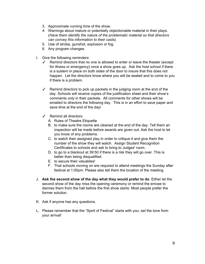- 3. Approximate running time of the show.
- *4.* Warnings about mature or potentially objectionable material in their plays. (*Have them identify the nature of the problematic material so that directors can convey this information to their casts).*
- 5. Use of strobe, gunshot, explosion or fog.
- 6. Any program changes.
- I. Give the following reminders:
	- $\checkmark$  Remind directors that no one is allowed to enter or leave the theater (except for illness or emergency) once a show goes up. Ask the host school if there is a system in place on both sides of the door to insure that this does not happen. Let the directors know where you will be seated and to come to you if there is a problem.
	- $\checkmark$  Remind directors to pick up packets in the judging room at the end of the day. Schools will receive copies of the justification sheet and their show's comments *only* in their packets. All comments for other shows will be emailed to directors the following day. This is in an effort to save paper and save time at the end of the day!
	- ✓ Remind all directors:
		- A. Rules of Theatre Etiquette
		- B. to make sure the rooms are cleaned at the end of the day. Tell them an inspection will be made before awards are given out. Ask the host to let you know of any problems.
		- C. to watch their assigned play in order to critique it and give them the number of the show they will watch. Assign Student Recognition Certificates to schools and ask to bring to Judges' room.
		- D. to go to a blackout at 39:50 if there is a risk they will go over. This is better than being disqualified.
		- E. to secure their valuables!
		- F. That schools moving on are required to attend meetings the Sunday after festival at 1:00pm. Please also tell them the location of the meeting.
- J. **Ask the second show of the day what they would prefer to do**. Either let the second show of the day miss the opening ceremony or remind the emcee to dismiss them from the hall before the first show starts. Most people prefer the former solution.
- K. Ask if anyone has any questions.
- L. Please remember that the "Spirit of Festival" starts with you; set the tone from your arrival!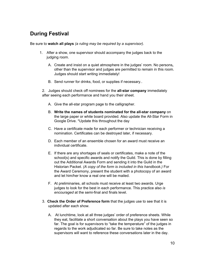## <span id="page-9-0"></span>**During Festival**

Be sure to **watch all plays** *(a ruling may be required by a supervisor).*

- 1. After a show, one supervisor should accompany the judges back to the judging room.
	- A. Create and insist on a quiet atmosphere in the judges' room. No persons**,** other than the supervisor and judges are permitted to remain in this room. Judges should start writing immediately!
	- B. Send runner for drinks, food, or supplies if necessary..

2. Judges should check off nominees for the **all-star company** immediately after seeing each performance and hand you their sheet.

- A. Give the all-star program page to the calligrapher.
- B. **Write the names of students nominated for the all-star company** on the large paper or white board provided. Also update the All-Star Form in Google Drive. \*Update this throughout the day
- C. Have a certificate made for each performer or technician receiving a nomination. Certificates can be destroyed later, if necessary.
- D. Each member of an ensemble chosen for an award must receive an individual certificate.
- E. If there are any shortages of seals or certificates, make a note of the school(s) and specific awards and notify the Guild. This is done by filling out the Additional Awards Form and sending it into the Guild in the Historian Packet. *(A copy of the form is included in this handbook.)* For the Award Ceremony, present the student with a photocopy of an award and let him/her know a real one will be mailed.
- F. At preliminaries, all schools must receive at least two awards. Urge judges to look for the best in each performance. This practice also *is encouraged* at the semi-final and finals level.
- 3. **Check the Order of Preference form** that the judges use to see that it is updated after each show.
	- A. At lunchtime, look at all three judges' order of preference sheets. While they eat, facilitate a short conversation about the plays you have seen so far. The goal is for supervisors to "take the temperature" of the judges in regards to the work adjudicated so far. Be sure to take notes as the supervisors will want to reference these conversations later in the day.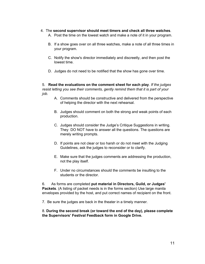#### 4. The **second supervisor should meet timers and check all three watches**.

- A. Post the time on the lowest watch and make a note of it in your program.
- B. If a show goes over on all three watches, make a note of all three times in your program.
- C. Notify the show's director immediately and discreetly, and then post the lowest time.
- D. Judges do not need to be notified that the show has gone over time.

5. **Read the evaluations on the comment sheet for each play**. *If the judges resist letting you see their comments, gently remind them that it is part of your job.*

- A. Comments should be constructive and delivered from the perspective of helping the director with the next rehearsal.
- B. Judges should comment on both the strong and weak points of each production.
- C. Judges should consider the Judge's Critique Suggestions in writing. They DO NOT have to answer all the questions. The questions are merely writing prompts.
- D. If points are not clear or too harsh or do not meet with the Judging Guidelines, ask the judges to reconsider or to clarify.
- E. Make sure that the judges comments are addressing the production, not the play itself.
- F. Under no circumstances should the comments be insulting to the students or the director.

6. As forms are completed **put material in Directors, Guild, or Judges' Packets**. (A listing of packet needs is in the forms section) Use large manila envelopes provided by the host, and put correct names of recipient on the front.

7. Be sure the judges are back in the theater in a timely manner.

## <span id="page-10-0"></span>8. **During the second break (or toward the end of the day), please complete the Supervisors' Festival Feedback form in Google Drive.**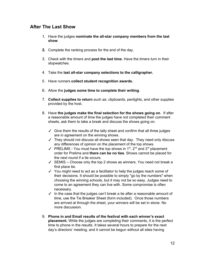## **After The Last Show**

- 1. Have the judges **nominate the all-star company members from the last show**.
- **2.** Complete the ranking process for the end of the day.
- 3. Check with the timers and **post the last time**. Have the timers turn in their stopwatches.
- 4. Take the **last all-star company selections to the calligrapher.**
- 5. Have runners **collect student recognition awards.**
- 6. Allow the **judges some time to complete their writing**.
- 7. **Collect supplies to return** such as: clipboards, penlights, and other supplies provided by the host.
- 8. Have **the judges make the final selection for the shows going on**. If after a reasonable amount of time the judges have not completed their comment sheets, ask them to take a break and discuss the shows going on.
	- $\checkmark$  Give them the results of the tally sheet and confirm that all three judges are in agreement on the winning shows.
	- $\checkmark$  They should not discuss all shows seen that day. They need only discuss any differences of opinion on the placement of the top shows.
	- ✓ PRELIMS You must have the top shows in  $1<sup>st</sup>$ ,  $2<sup>nd</sup>$  and  $3<sup>rd</sup>$  placement order for Prelims and **there can be no ties**. Shows cannot be placed for the next round if a tie occurs.
	- $\checkmark$  SEMIS Choose only the top 2 shows as winners. You need not break a first place tie.
	- ✓ You might need to act as a facilitator to help the judges reach some of their decisions. It should be possible to simply "go by the numbers" when choosing the winning schools, but it may not be so easy. Judges need to come to an agreement they can live with. Some compromise is often necessary.
	- $\checkmark$  In the case that the judges can't break a tie after a reasonable amount of time, use the Tie Breaker Sheet (form included). Once those numbers are arrived at through the sheet, your winners will be set in stone. No more discussion.
- 9. **Phone in and Email results of the festival with each winner's exact placement.** While the judges are completing their comments, it is the perfect time to phone in the results. It takes several hours to prepare for the next day's directors' meeting, and it cannot be begun without all sites having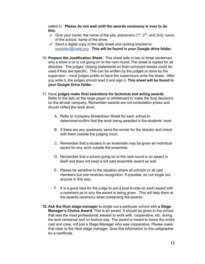called in. **Please do not wait until the awards ceremony is over to do this.**

- ✓ Give your name; the name of the site; placement  $(1<sup>st</sup>, 2<sup>nd</sup>,$  and 3rd); name of the school, name of the show.
- ✓ Send a digital copy of the tally sheet and ranking bracket to [president@metg.org](mailto:president@metg.org) . **This will be found in your Google drive folder.**
- 10. **Prepare the Justification Sheet** . This sheet tells in two or three sentences why a show is or is not going on to the next round. The sheet is copied for all directors. The judges' closing statements on their comment sheets could be used if they are specific. This can be written by the judges or done by the supervisor – most judges prefer to have the supervisors write the sheet. After you write it, the judges should read it and sign it. **This sheet will be found in your Google Drive folder.**
- 11. Have **judges make final selections for technical and acting awards**. Refer to the lists on the large paper or whiteboard to make the final decisions on the all-star company. Remember awards are not consolation prizes and should reflect the work done.
	- A. Refer to Company Breakdown Sheet for each school to determine/confirm that the work being awarded is the students' work.
	- B. If there are any questions, send the runner for the director and check with them outside the judging room.
	- C. Remember that a student in an ensemble may be given an individual award for any work outside the ensemble.
	- D. Remember that a school going on to the next round is an award in itself and does not need a full cast ensemble award as well.
	- E. Please be sensitive to the situation where all schools or all cast members but one receives recognition. If possible, do not single out anyone in this way.
	- F. It is a good idea for the judge to put a post-it-note on each award with a comment as to why the award is being given. This will help them at the awards ceremony when presenting the awards.
- **12. Ask the Host stage manager** to single out a particular school with **a Stage Manager's Choice Award**. This is an award. It should be given to the school that was the most professional, easiest to work with, cooperative, etc. during the tech rehearsal and on festival day. The award is meant to honor the entire cast and crew, not just a Stage Manager who was cooperative. Please make that clear to the Host stage manager. Give this information to the calligrapher for a certificate.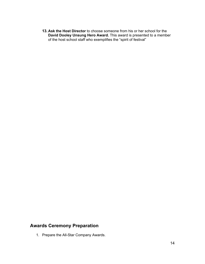<span id="page-13-0"></span>**13. Ask the Host Director** to choose someone from his or her school for the **David Dooley Unsung Hero Award.** This award is presented to a member of the host school staff who exemplifies the "spirit of festival"

## **Awards Ceremony Preparation**

1. Prepare the All-Star Company Awards.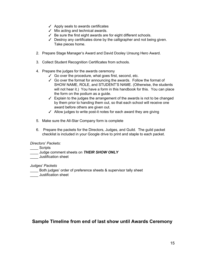- $\checkmark$  Apply seals to awards certificates
- $\checkmark$  Mix acting and technical awards.
- ✓ Be sure the first eight awards are for eight different schools.
- ✓ Destroy any certificates done by the calligrapher and not being given. Take pieces home.
- 2. Prepare Stage Manager's Award and David Dooley Unsung Hero Award.
- 3. Collect Student Recognition Certificates from schools.
- 4. Prepare the judges for the awards ceremony
	- ✓ Go over the procedure, what goes first, second, etc.
	- ✓ Go over the format for announcing the awards. Follow the format of SHOW NAME, ROLE, and STUDENT'S NAME. (Otherwise, the students will not hear it.) You have a form in this handbook for this. You can place the form on the podium as a guide.
	- $\checkmark$  Explain to the judges the arrangement of the awards is not to be changed by them prior to handing them out, so that each school will receive one award before others are given out.
	- ✓ Allow judges to write post-it notes for each award they are giving
- 5. Make sure the All-Star Company form is complete
- 6. Prepare the packets for the Directors, Judges, and Guild. The guild packet checklist is included in your Google drive to print and staple to each packet.

*Directors' Packets:*

\_\_\_\_ Scripts

- \_\_\_\_ Judge comment sheets on *THEIR SHOW ONLY*
- **\_\_\_\_** Justification sheet

*Judges' Packets*

- \_\_\_\_ Both judges' order of preference sheets & supervisor tally sheet
- <span id="page-14-0"></span>\_\_\_\_ Justification sheet

## **Sample Timeline from end of last show until Awards Ceremony**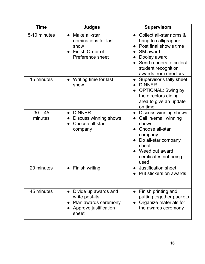| <b>Time</b>          | <b>Judges</b>                                                                                      | <b>Supervisors</b>                                                                                                                                                                       |
|----------------------|----------------------------------------------------------------------------------------------------|------------------------------------------------------------------------------------------------------------------------------------------------------------------------------------------|
| 5-10 minutes         | Make all-star<br>nominations for last<br>show<br>Finish Order of<br>Preference sheet               | Collect all-star noms &<br>bring to calligrapher<br>Post final show's time<br><b>SM</b> award<br>Dooley award<br>Send runners to collect<br>student recognition<br>awards from directors |
| 15 minutes           | Writing time for last<br>show                                                                      | Supervisor's tally sheet<br><b>DINNER</b><br><b>OPTIONAL: Swing by</b><br>the directors dining<br>area to give an update<br>on time.                                                     |
| $30 - 45$<br>minutes | <b>DINNER</b><br>Discuss winning shows<br>Choose all-star<br>company                               | • Discuss winning shows<br>Call in/email winning<br>shows<br>Choose all-star<br>company<br>Do all-star company<br>sheet<br>Weed out award<br>certificates not being<br>used              |
| 20 minutes           | • Finish writing                                                                                   | <b>Justification sheet</b><br>Put stickers on awards                                                                                                                                     |
| 45 minutes           | Divide up awards and<br>write post-its<br>• Plan awards ceremony<br>Approve justification<br>sheet | Finish printing and<br>putting together packets<br>Organize materials for<br>the awards ceremony                                                                                         |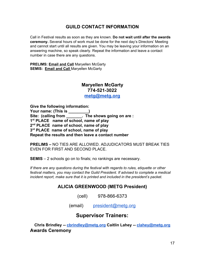## **GUILD CONTACT INFORMATION**

<span id="page-16-0"></span>Call in Festival results as soon as they are known. **Do not wait until after the awards ceremony.** Several hours of work must be done for the next day's Directors' Meeting and cannot start until all results are given. You may be leaving your information on an answering machine, so speak clearly. Repeat the information and leave a contact number in case there are any questions.

**PRELIMS: Email and Call** Maryellen McGarty **SEMIS: Email and Call** Maryellen McGarty

# **Maryellen McGarty 774-521-3022**

**[metg@metg.org](mailto:metg@metg.org)**

**Give the following information: Your name: (This is \_\_\_\_\_\_\_\_\_)** Site: (calling from **contact in the shows going on are : 1 st PLACE name of school, name of play 2 nd PLACE name of school, name of play 3 rd PLACE name of school, name of play Repeat the results and then leave a contact number**

**PRELIMS –** NO TIES ARE ALLOWED. ADJUDICATORS MUST BREAK TIES EVEN FOR FIRST AND SECOND PLACE.

**SEMIS** – 2 schools go on to finals; no rankings are necessary.

*If there are any questions during the festival with regards to rules, etiquette or other festival matters, you may contact the Guild President. If advised to complete a medical incident report, make sure that it is printed and included in the president's packet.*

## **ALICIA GREENWOOD (METG President)**

(cell) 978-866-6373

(email) [president@metg.org](mailto:president@metg.org)

## **Supervisor Trainers:**

<span id="page-16-1"></span>**Chris Brindley -- [cbrindley@metg.org](mailto:cbrindley@metg.org) Caitlin Lahey -- [clahey@metg.org](mailto:clahey@metg.org) Awards Ceremony**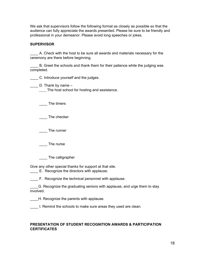We ask that supervisors follow the following format as closely as possible so that the audience can fully appreciate the awards presented. Please be sure to be friendly and professional in your demeanor. Please avoid long speeches or jokes.

## **SUPERVISOR**

\_\_\_\_ A. Check with the host to be sure all awards and materials necessary for the ceremony are there before beginning.

B. Greet the schools and thank them for their patience while the judging was completed.

**EXEC.** Introduce yourself and the judges.

 $\frac{1}{2}$  D. Thank by name  $-$ 

The host school for hosting and assistance.

\_\_\_\_ The timers

\_\_\_\_ The checker

The runner

The nurse

\_\_\_\_ The calligrapher

Give any other special thanks for support at that site.

**E.** Recognize the directors with applause.

F. Recognize the technical personnel with applause.

\_\_\_\_G. Recognize the graduating seniors with applause, and urge them to stay involved.

\_\_\_\_H. Recognize the parents with applause.

\_\_\_\_ I. Remind the schools to make sure areas they used are clean.

## **PRESENTATION OF STUDENT RECOGNITION AWARDS & PARTICIPATION CERTIFICATES**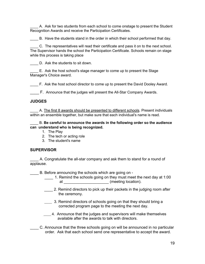\_\_\_\_ A. Ask for two students from each school to come onstage to present the Student Recognition Awards and receive the Participation Certificates.

\_\_\_\_ B. Have the students stand in the order in which their school performed that day.

\_\_\_\_ C. The representatives will read their certificate and pass it on to the next school. The Supervisor hands the school the Participation Certificate. Schools remain on stage while this process is taking place

D. Ask the students to sit down.

\_\_\_\_ E. Ask the host school's stage manager to come up to present the Stage Manager's Choice award.

\_\_\_\_ F. Ask the host school director to come up to present the David Dooley Award.

\_\_\_\_ F. Announce that the judges will present the All-Star Company Awards.

## **JUDGES**

A. The first 8 awards should be presented to different schools. Present individuals within an ensemble together, but make sure that each individual's name is read.

\_\_\_\_ B. **Be careful to announce the awards in the following order so the audience can understand who is being recognized.**

- 1. The Play
- 2. The tech or acting role
- 3. The student's name

## **SUPERVISOR**

\_\_\_\_ A. Congratulate the all-star company and ask them to stand for a round of applause.

B. Before announcing the schools which are going on -

- \_\_\_\_ 1. Remind the schools going on they must meet the next day at 1:00 at \_\_\_\_\_\_\_\_\_\_\_\_\_\_\_\_\_\_\_\_\_\_\_\_\_\_\_ (meeting location).
- 2. Remind directors to pick up their packets in the judging room after the ceremony.
- \_\_\_\_\_ 3. Remind directors of schools going on that they should bring a corrected program page to the meeting the next day.
- \_\_\_\_\_ 4. Announce that the judges and supervisors will make themselves available after the awards to talk with directors.

\_\_\_\_ C. Announce that the three schools going on will be announced in no particular order. Ask that each school send one representative to accept the award.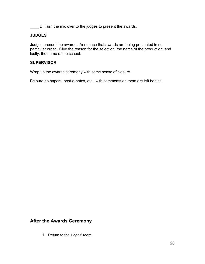\_\_\_\_ D. Turn the mic over to the judges to present the awards.

## **JUDGES**

Judges present the awards. Announce that awards are being presented in no particular order. Give the reason for the selection, the name of the production, and lastly, the name of the school.

## **SUPERVISOR**

Wrap up the awards ceremony with some sense of closure.

<span id="page-19-0"></span>Be sure no papers, post-a-notes, etc., with comments on them are left behind.

## **After the Awards Ceremony**

1. Return to the judges' room.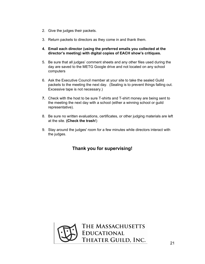- 2. Give the judges their packets.
- 3. Return packets to directors as they come in and thank them.
- **4. Email each director (using the preferred emails you collected at the director's meeting) with digital copies of EACH show's critiques.**
- 5. Be sure that all judges' comment sheets and any other files used during the day are saved to the METG Google drive and not located on any school computers
- 6. Ask the Executive Council member at your site to take the sealed Guild packets to the meeting the next day. (Sealing is to prevent things falling out. Excessive tape is not necessary.)
- **7.** Check with the host to be sure T-shirts and T-shirt money are being sent to the meeting the next day with a school (either a winning school or guild representative).
- 8. Be sure no written evaluations, certificates, or other judging materials are left at the site. **(Check the trash**!)
- 9. Stay around the judges' room for a few minutes while directors interact with the judges.

## **Thank you for supervising!**

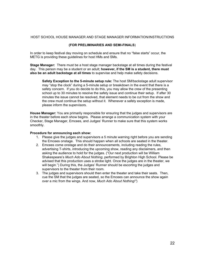#### <span id="page-21-0"></span>HOST SCHOOL HOUSE MANAGER AND STAGE MANAGER INFORMATION/INSTRUCTIONS

#### **(FOR PRELIMINARIES AND SEMI-FINALS**)

In order to keep festival day moving on schedule and ensure that no "false starts" occur, the METG is providing these guidelines for host HMs and SMs.

**Stage Manager:** There must be a host stage manager backstage at all times during the festival day. This person may be a student or an adult; **however, if the SM is a student, there must also be an adult backstage at all times** to supervise and help make safety decisions.

**Safety Exception to the 5-minute setup rule:** The host SM/backstage adult supervisor may "stop the clock" during a 5-minute setup or breakdown in the event that there is a safety concern. If you do decide to do this, you may allow the crew of the presenting school up to 30 minutes to resolve the safety issue and continue their setup. If after 30 minutes the issue cannot be resolved, that element needs to be cut from the show and the crew must continue the setup without it. Whenever a safety exception is made, please inform the supervisors.

**House Manager:** You are primarily responsible for ensuring that the judges and supervisors are in the theater before each show begins. Please arrange a communication system with your Checker, Stage Manager, Emcees, and Judges' Runner to make sure that this system works smoothly.

#### **Procedure for announcing each show:**

- 1. Please give the judges and supervisors a 5 minute warning right before you are sending the Emcees onstage. This should happen when all schools are seated in the theater.
- 2. Emcees come onstage and do their announcements, including reading the rules, advertising T-shirts, introducing the upcoming show, reading any disclaimers, and then asking the audience to hold for the judges. ("Our next production will be William Shakespeare's *Much Ado About Nothing*, performed by Brighton High School. Please be advised that this production uses a strobe light. Once the judges are in the theater, we will begin.") During this, the Judges' Runner should be escorting the judges and supervisors to the theater from their room.
- 3. The judges and supervisors should then enter the theater and take their seats. Then, cue the SM that the judges are seated, so the Emcees can announce the show again over a mic from the wings. And now, *Much Ado About Nothing!"*)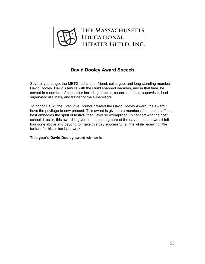

## **David Dooley Award Speech**

<span id="page-22-0"></span>Several years ago, the METG lost a dear friend, colleague, and long standing member, David Dooley. David's tenure with the Guild spanned decades, and in that time, he served in a number of capacities including director, council member, supervisor, lead supervisor at Finals, and trainer of the supervisors.

To honor David, the Executive Council created the David Dooley Award; the award I have the privilege to now present. This award is given to a member of the host staff that best embodies the spirit of festival that David so exemplified. In concert with the host school director, this award is given to the unsung hero of the day- a student we all felt has gone above and beyond to make this day successful, all the while receiving little fanfare for his or her hard work.

#### **This year's David Dooley award winner is:**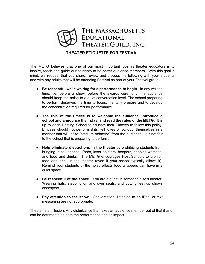

## **THEATER ETIQUETTE FOR FESTIVAL**

<span id="page-23-0"></span>The METG believes that one of our most important jobs as theater educators is to inspire, teach and guide our students to be better audience members. With this goal in mind, we request that you share, review and discuss the following with your students and with any adults that will be attending Festival as part of your Festival group.

- **Be respectful while waiting for a performance to begin.** In any waiting time, i.e. before a show, before the awards ceremony, the audience should keep the noise to a quiet conversation level. The school preparing to perform deserves the time to focus, mentally prepare and to develop the concentration required for performance.
- **The role of the Emcee is to welcome the audience, introduce a school and announce their play, and read the rules of the METG.** It is up to each Hosting School to educate their Emcees to follow this policy. Emcees should not perform skits, tell jokes or conduct themselves in a manner that will incite "stadium behavior" from the audience - it is not fair to the school that is preparing to perform.
- **Help eliminate distractions in the theater** by prohibiting students from bringing in cell phones, iPods, laser pointers, beepers, beeping watches, and food and drinks. The METG encourages Host Schools to prohibit food and drink in the theater (even if your school typically allows it). Remind your students of the noisy effects food wrappers can have in a quiet space.
- **Be respectful of the space.** You are a guest in someone else's theater. Wearing hats, stepping on and over seats, and putting feet up shows disrespect.
- **Pay attention to the show.** Conversation, listening to an iPod, or text messaging are not appropriate.

Theater is an illusion. Any disturbance that takes an audience member out of that illusion can be detrimental to both the performance and its impact.

.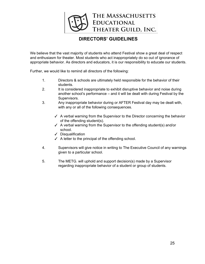

## **DIRECTORS' GUIDELINES**

<span id="page-24-0"></span>We believe that the vast majority of students who attend Festival show a great deal of respect and enthusiasm for theater. Most students who act inappropriately do so out of ignorance of appropriate behavior. As directors and educators, it is our responsibility to educate our students.

Further, we would like to remind all directors of the following:

- 1. Directors & schools are ultimately held responsible for the behavior of their students.
- 2. It is considered inappropriate to exhibit disruptive behavior and noise during another school's performance – and it will be dealt with during Festival by the Supervisors.
- 3. Any inappropriate behavior during or AFTER Festival day may be dealt with, with any or all of the following consequences.
	- $\checkmark$  A verbal warning from the Supervisor to the Director concerning the behavior of the offending student(s).
	- ✓ A verbal warning from the Supervisor to the offending student(s) and/or school.
	- ✓ Disqualification
	- $\checkmark$  A letter to the principal of the offending school.
- 4. Supervisors will give notice in writing to The Executive Council of any warnings given to a particular school.
- 5. The METG. will uphold and support decision(s) made by a Supervisor regarding inappropriate behavior of a student or group of students.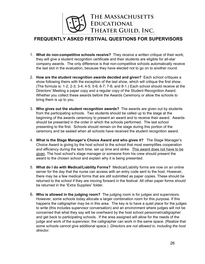# THE MASSACHUSETTS **EDUCATIONAL** THEATER GUILD, INC.

## <span id="page-25-0"></span>**FREQUENTLY ASKED FESTIVAL QUESTIONS FOR SUPERVISORS**

- 1. **What do non-competitive schools receive?** They receive a written critique of their work; they will give a student recognition certificate and their students are eligible for all-star company awards. The only difference is that non-competitive schools automatically receive the last slot in the evaluation, because they have elected not to go on to another round.
- 2. **How are the student recognition awards decided and given?** Each school critiques a show following theirs with the exception of the last show, which will critique the first show. (The formula is: 1-2; 2-3; 3-4; 4-5; 5-6; 6-7; 7-8; and 8-1.) Each school should receive at the Directors' Meeting a paper copy and a regular copy of the Student Recognition Award. Whether you collect these awards before the Awards Ceremony or allow the schools to bring them is up to you.
- 3. **Who gives out the student recognition awards?** The awards are given out by students from the participating schools. Two students should be called up to the stage at the beginning of the awards ceremony to present an award and to receive their award. Awards should be presented in the order in which the schools performed. The last school presenting to the first. Schools should remain on the stage during this portion of the ceremony and be seated when all schools have received the student recognition award.
- 4. **What is the Stage Manager's Choice Award and who gives it?** The Stage Manager's Choice Award is giving by the host school to the school that most exemplifies cooperation and efficiency during the tech time, set up time and strike. This award does not have to be given. The host school's stage manager or someone from his crew should present the award to the chosen school and explain why it is being presented.
- 5. **What do I do with Medical/Liability Forms?** Medical/Liability forms are now on an online server for the day that the nurse can access with an entry code sent to the host. However, there may be a few medical forms that are still submitted as paper copies. These should be returned to the school if they are moving forward in the festival. All other paper forms should be returned in the "Extra Supplies" folder.
- 6. **Who is allowed in the judging room?** The judging room is for judges and supervisors. However, some schools today allocate a larger combination room for this purpose. If this happens the calligrapher may be in this area. The key is to have a quiet place for the judges to write (this includes supervisor conversation) and an environment where judges will not be concerned that what they say will be overheard by the host school personnel/calligrapher and get back to participating schools. If the area assigned will allow for the needs of the judge and work of the supervisor, the calligrapher can work in the same space. (Realize that some schools cannot give additional space.) *Directors are not allowed in, including the host director.*